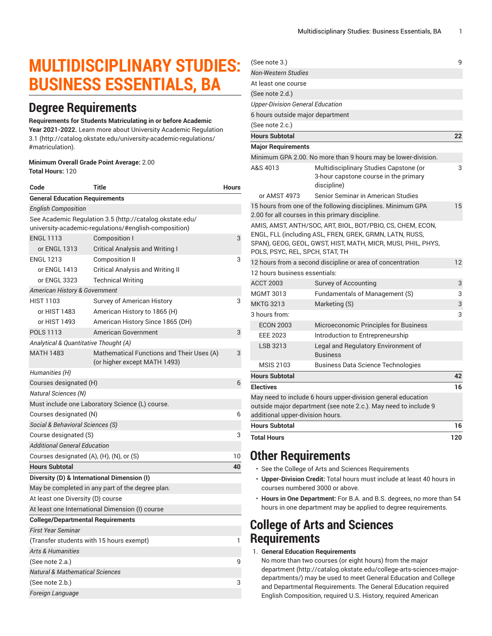# **MULTIDISCIPLINARY STUDIES: BUSINESS ESSENTIALS, BA**

### **Degree Requirements**

#### **Requirements for Students Matriculating in or before Academic**

**Year 2021-2022.** Learn more about University Academic [Regulation](http://catalog.okstate.edu/university-academic-regulations/#matriculation) [3.1](http://catalog.okstate.edu/university-academic-regulations/#matriculation) ([http://catalog.okstate.edu/university-academic-regulations/](http://catalog.okstate.edu/university-academic-regulations/#matriculation) [#matriculation\)](http://catalog.okstate.edu/university-academic-regulations/#matriculation).

#### **Minimum Overall Grade Point Average:** 2.00 **Total Hours:** 120

| Code                                                                                                              | Title                                                                     | <b>Hours</b> |  |
|-------------------------------------------------------------------------------------------------------------------|---------------------------------------------------------------------------|--------------|--|
| <b>General Education Requirements</b>                                                                             |                                                                           |              |  |
| <b>English Composition</b>                                                                                        |                                                                           |              |  |
| See Academic Regulation 3.5 (http://catalog.okstate.edu/<br>university-academic-regulations/#english-composition) |                                                                           |              |  |
| <b>ENGL 1113</b>                                                                                                  | Composition I                                                             | 3            |  |
| or ENGL 1313                                                                                                      | <b>Critical Analysis and Writing I</b>                                    |              |  |
| <b>ENGL 1213</b>                                                                                                  | <b>Composition II</b>                                                     | 3            |  |
| or ENGL 1413                                                                                                      | <b>Critical Analysis and Writing II</b>                                   |              |  |
| or ENGL 3323                                                                                                      | <b>Technical Writing</b>                                                  |              |  |
| American History & Government                                                                                     |                                                                           |              |  |
| <b>HIST 1103</b>                                                                                                  | Survey of American History                                                | 3            |  |
| or HIST 1483                                                                                                      | American History to 1865 (H)                                              |              |  |
| or HIST 1493                                                                                                      | American History Since 1865 (DH)                                          |              |  |
| <b>POLS 1113</b>                                                                                                  | <b>American Government</b>                                                | 3            |  |
| Analytical & Quantitative Thought (A)                                                                             |                                                                           |              |  |
| <b>MATH 1483</b>                                                                                                  | Mathematical Functions and Their Uses (A)<br>(or higher except MATH 1493) | 3            |  |
| Humanities (H)                                                                                                    |                                                                           |              |  |
| Courses designated (H)                                                                                            |                                                                           |              |  |
| <i>Natural Sciences (N)</i>                                                                                       |                                                                           |              |  |
| Must include one Laboratory Science (L) course.                                                                   |                                                                           |              |  |
| Courses designated (N)                                                                                            |                                                                           | 6            |  |
| Social & Behavioral Sciences (S)                                                                                  |                                                                           |              |  |
| Course designated (S)                                                                                             |                                                                           |              |  |
| <b>Additional General Education</b>                                                                               |                                                                           |              |  |
| Courses designated (A), (H), (N), or (S)                                                                          |                                                                           |              |  |
| <b>Hours Subtotal</b>                                                                                             |                                                                           | 40           |  |
| Diversity (D) & International Dimension (I)                                                                       |                                                                           |              |  |
| May be completed in any part of the degree plan.                                                                  |                                                                           |              |  |
| At least one Diversity (D) course                                                                                 |                                                                           |              |  |
|                                                                                                                   | At least one International Dimension (I) course                           |              |  |
| <b>College/Departmental Requirements</b>                                                                          |                                                                           |              |  |
| <b>First Year Seminar</b>                                                                                         |                                                                           |              |  |
| (Transfer students with 15 hours exempt)                                                                          |                                                                           |              |  |
| <b>Arts &amp; Humanities</b>                                                                                      |                                                                           |              |  |
| (See note 2.a.)                                                                                                   |                                                                           |              |  |
| <b>Natural &amp; Mathematical Sciences</b>                                                                        |                                                                           |              |  |
| (See note 2.b.)                                                                                                   |                                                                           | 3            |  |
| Foreign Language                                                                                                  |                                                                           |              |  |

| (See note 3.)                           |                                                                                                                                                                                       | 9   |
|-----------------------------------------|---------------------------------------------------------------------------------------------------------------------------------------------------------------------------------------|-----|
| <b>Non-Western Studies</b>              |                                                                                                                                                                                       |     |
| At least one course                     |                                                                                                                                                                                       |     |
| (See note 2.d.)                         |                                                                                                                                                                                       |     |
| <b>Upper-Division General Education</b> |                                                                                                                                                                                       |     |
| 6 hours outside major department        |                                                                                                                                                                                       |     |
| (See note 2.c.)                         |                                                                                                                                                                                       |     |
| <b>Hours Subtotal</b>                   |                                                                                                                                                                                       | 22  |
| <b>Maior Requirements</b>               |                                                                                                                                                                                       |     |
|                                         | Minimum GPA 2.00. No more than 9 hours may be lower-division.                                                                                                                         |     |
| A&S 4013                                | Multidisciplinary Studies Capstone (or<br>3-hour capstone course in the primary<br>discipline)                                                                                        | 3   |
| or AMST 4973                            | Senior Seminar in American Studies                                                                                                                                                    |     |
|                                         | 15 hours from one of the following disciplines. Minimum GPA<br>2.00 for all courses in this primary discipline.                                                                       | 15  |
| POLS, PSYC, REL, SPCH, STAT, TH         | AMIS, AMST, ANTH/SOC, ART, BIOL, BOT/PBIO, CS, CHEM, ECON,<br>ENGL, FLL (including ASL, FREN, GREK, GRMN, LATN, RUSS,<br>SPAN), GEOG, GEOL, GWST, HIST, MATH, MICR, MUSI, PHIL, PHYS, |     |
|                                         | 12 hours from a second discipline or area of concentration                                                                                                                            | 12  |
| 12 hours business essentials:           |                                                                                                                                                                                       |     |
| <b>ACCT 2003</b>                        | Survey of Accounting                                                                                                                                                                  | 3   |
| <b>MGMT 3013</b>                        | Fundamentals of Management (S)                                                                                                                                                        | 3   |
| <b>MKTG 3213</b>                        | Marketing (S)                                                                                                                                                                         | 3   |
| 3 hours from:                           |                                                                                                                                                                                       | 3   |
| <b>ECON 2003</b>                        | Microeconomic Principles for Business                                                                                                                                                 |     |
| <b>EEE 2023</b>                         | Introduction to Entrepreneurship                                                                                                                                                      |     |
| LSB 3213                                | Legal and Regulatory Environment of<br><b>Business</b>                                                                                                                                |     |
| <b>MSIS 2103</b>                        | Business Data Science Technologies                                                                                                                                                    |     |
| <b>Hours Subtotal</b>                   |                                                                                                                                                                                       | 42  |
| <b>Electives</b>                        |                                                                                                                                                                                       | 16  |
| additional upper-division hours.        | May need to include 6 hours upper-division general education<br>outside major department (see note 2.c.). May need to include 9                                                       |     |
| <b>Hours Subtotal</b>                   |                                                                                                                                                                                       | 16  |
| <b>Total Hours</b>                      |                                                                                                                                                                                       | 120 |
|                                         |                                                                                                                                                                                       |     |

### **Other Requirements**

- See the College of Arts and Sciences Requirements
- **Upper-Division Credit:** Total hours must include at least 40 hours in courses numbered 3000 or above.
- **Hours in One Department:** For B.A. and B.S. degrees, no more than 54 hours in one department may be applied to degree requirements.

### **College of Arts and Sciences Requirements**

1. **General Education Requirements**

No more than two courses (or eight hours) from [the major](http://catalog.okstate.edu/college-arts-sciences-major-departments/) [department](http://catalog.okstate.edu/college-arts-sciences-major-departments/) ([http://catalog.okstate.edu/college-arts-sciences-major](http://catalog.okstate.edu/college-arts-sciences-major-departments/)[departments/\)](http://catalog.okstate.edu/college-arts-sciences-major-departments/) may be used to meet General Education and College and Departmental Requirements. The General Education required English Composition, required U.S. History, required American